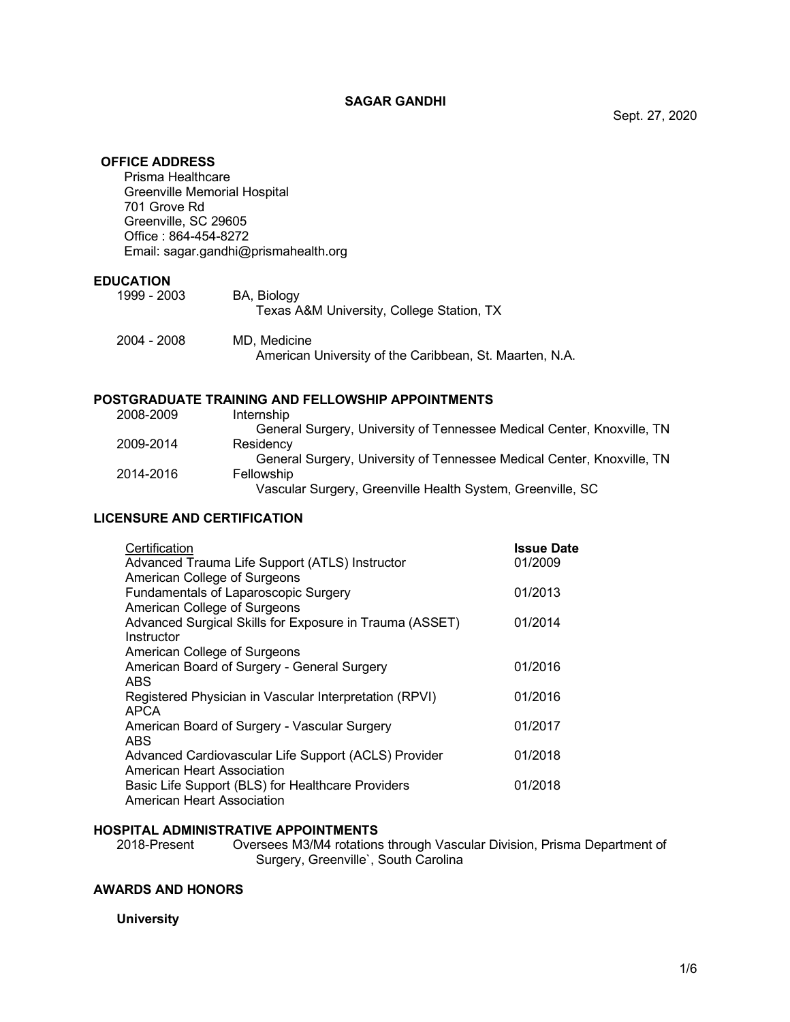## **SAGAR GANDHI**

## **OFFICE ADDRESS**

Prisma Healthcare Greenville Memorial Hospital 701 Grove Rd Greenville, SC 29605 Office : 864-454-8272 Email: sagar.gandhi@prismahealth.org

## **EDUCATION**

| 1999 - 2003 | <b>BA.</b> Biology<br>Texas A&M University, College Station, TX         |
|-------------|-------------------------------------------------------------------------|
| 2004 - 2008 | MD. Medicine<br>American University of the Caribbean, St. Maarten, N.A. |

# **POSTGRADUATE TRAINING AND FELLOWSHIP APPOINTMENTS**

| 2008-2009 | Internship                                                             |
|-----------|------------------------------------------------------------------------|
|           | General Surgery, University of Tennessee Medical Center, Knoxville, TN |
| 2009-2014 | Residency                                                              |
|           | General Surgery, University of Tennessee Medical Center, Knoxville, TN |
| 2014-2016 | Fellowship                                                             |
|           | Vascular Surgery, Greenville Health System, Greenville, SC             |

## **LICENSURE AND CERTIFICATION**

| Certification<br>Advanced Trauma Life Support (ATLS) Instructor<br>American College of Surgeons | <b>Issue Date</b><br>01/2009 |
|-------------------------------------------------------------------------------------------------|------------------------------|
| Fundamentals of Laparoscopic Surgery<br>American College of Surgeons                            | 01/2013                      |
| Advanced Surgical Skills for Exposure in Trauma (ASSET)<br>Instructor                           | 01/2014                      |
| American College of Surgeons                                                                    |                              |
| American Board of Surgery - General Surgery<br>ABS                                              | 01/2016                      |
| Registered Physician in Vascular Interpretation (RPVI)<br><b>APCA</b>                           | 01/2016                      |
| American Board of Surgery - Vascular Surgery<br>ABS.                                            | 01/2017                      |
| Advanced Cardiovascular Life Support (ACLS) Provider<br>American Heart Association              | 01/2018                      |
| Basic Life Support (BLS) for Healthcare Providers<br>American Heart Association                 | 01/2018                      |

## **HOSPITAL ADMINISTRATIVE APPOINTMENTS**

2018-Present Oversees M3/M4 rotations through Vascular Division, Prisma Department of Surgery, Greenville`, South Carolina

## **AWARDS AND HONORS**

## **University**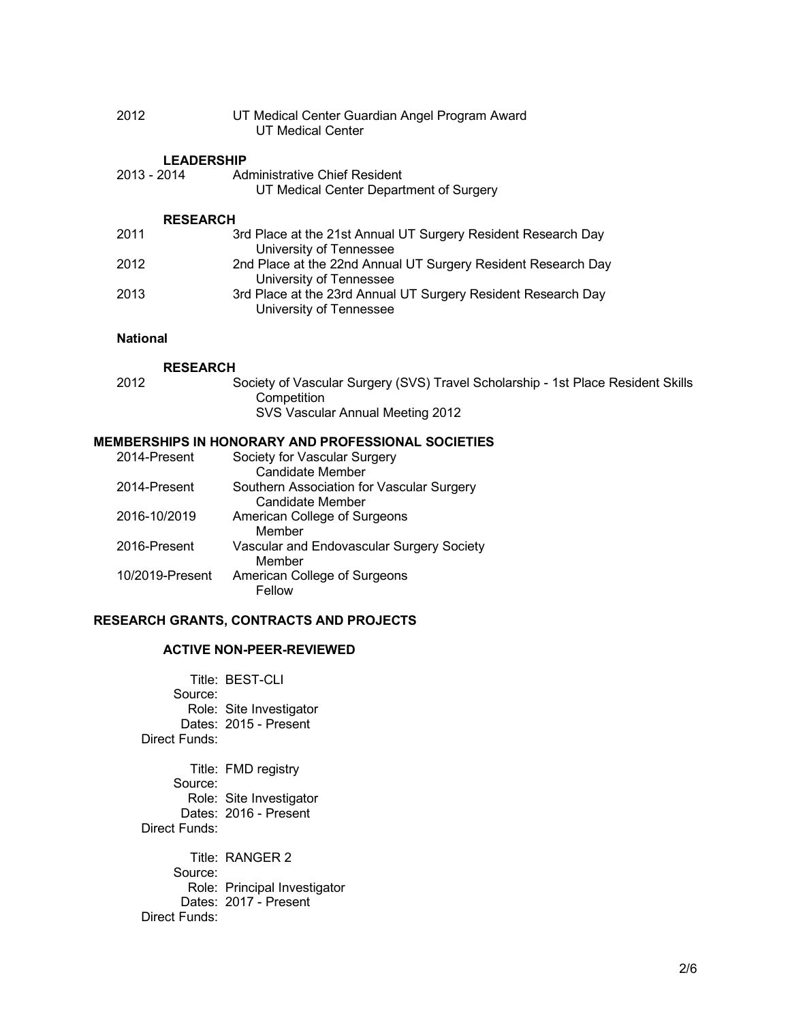| 2012 | UT Medical Center Guardian Angel Program Award |
|------|------------------------------------------------|
|      | UT Medical Center                              |

## **LEADERSHIP**

| 2013 - 2014 | Administrative Chief Resident                  |
|-------------|------------------------------------------------|
|             | UT Medical Center Department of Surgery        |
|             | <b>RESEARCH</b>                                |
| 2011        | 3rd Place at the 21st Annual UT Surgery Reside |

| 2011 | 3rd Place at the 21st Annual UT Surgery Resident Research Day |
|------|---------------------------------------------------------------|
|      | University of Tennessee                                       |
| 2012 | 2nd Place at the 22nd Annual UT Surgery Resident Research Day |
|      | University of Tennessee                                       |
| 2013 | 3rd Place at the 23rd Annual UT Surgery Resident Research Day |
|      | University of Tennessee                                       |

## **National**

#### **RESEARCH**

| 2012 | Society of Vascular Surgery (SVS) Travel Scholarship - 1st Place Resident Skills |
|------|----------------------------------------------------------------------------------|
|      | Competition                                                                      |
|      | SVS Vascular Annual Meeting 2012                                                 |

# **MEMBERSHIPS IN HONORARY AND PROFESSIONAL SOCIETIES**

| 2014-Present    | Society for Vascular Surgery              |
|-----------------|-------------------------------------------|
|                 | <b>Candidate Member</b>                   |
| 2014-Present    | Southern Association for Vascular Surgery |
|                 | Candidate Member                          |
| 2016-10/2019    | American College of Surgeons              |
|                 | Member                                    |
| 2016-Present    | Vascular and Endovascular Surgery Society |
|                 | Member                                    |
| 10/2019-Present | American College of Surgeons              |
|                 | Fellow                                    |

## **RESEARCH GRANTS, CONTRACTS AND PROJECTS**

## **ACTIVE NON-PEER-REVIEWED**

Title: BEST-CLI Source: Role: Site Investigator Dates: 2015 - Present Direct Funds:

Title: FMD registry Source: Role: Site Investigator Dates: 2016 - Present Direct Funds:

Title: RANGER 2 Source: Role: Principal Investigator Dates: 2017 - Present Direct Funds: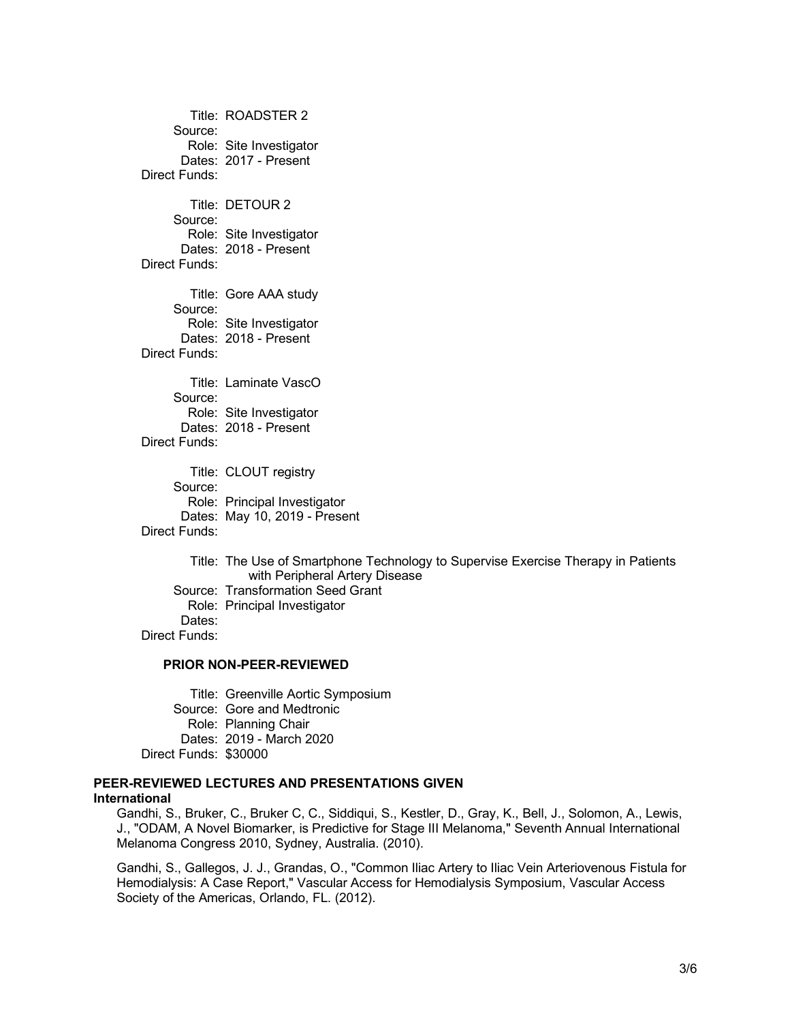Title: ROADSTER 2 Source: Role: Site Investigator Dates: 2017 - Present Direct Funds: Title: DETOUR 2 Source: Role: Site Investigator Dates: 2018 - Present Direct Funds: Title: Gore AAA study Source: Role: Site Investigator Dates: 2018 - Present Direct Funds: Title: Laminate VascO Source: Role: Site Investigator Dates: 2018 - Present Direct Funds: Title: CLOUT registry Source: Role: Principal Investigator Dates: May 10, 2019 - Present Direct Funds: Title: The Use of Smartphone Technology to Supervise Exercise Therapy in Patients

with Peripheral Artery Disease Source: Transformation Seed Grant Role: Principal Investigator Dates: Direct Funds:

#### **PRIOR NON-PEER-REVIEWED**

Title: Greenville Aortic Symposium Source: Gore and Medtronic Role: Planning Chair Dates: 2019 - March 2020 Direct Funds: \$30000

## **PEER-REVIEWED LECTURES AND PRESENTATIONS GIVEN International**

Gandhi, S., Bruker, C., Bruker C, C., Siddiqui, S., Kestler, D., Gray, K., Bell, J., Solomon, A., Lewis, J., "ODAM, A Novel Biomarker, is Predictive for Stage III Melanoma," Seventh Annual International Melanoma Congress 2010, Sydney, Australia. (2010).

Gandhi, S., Gallegos, J. J., Grandas, O., "Common Iliac Artery to Iliac Vein Arteriovenous Fistula for Hemodialysis: A Case Report," Vascular Access for Hemodialysis Symposium, Vascular Access Society of the Americas, Orlando, FL. (2012).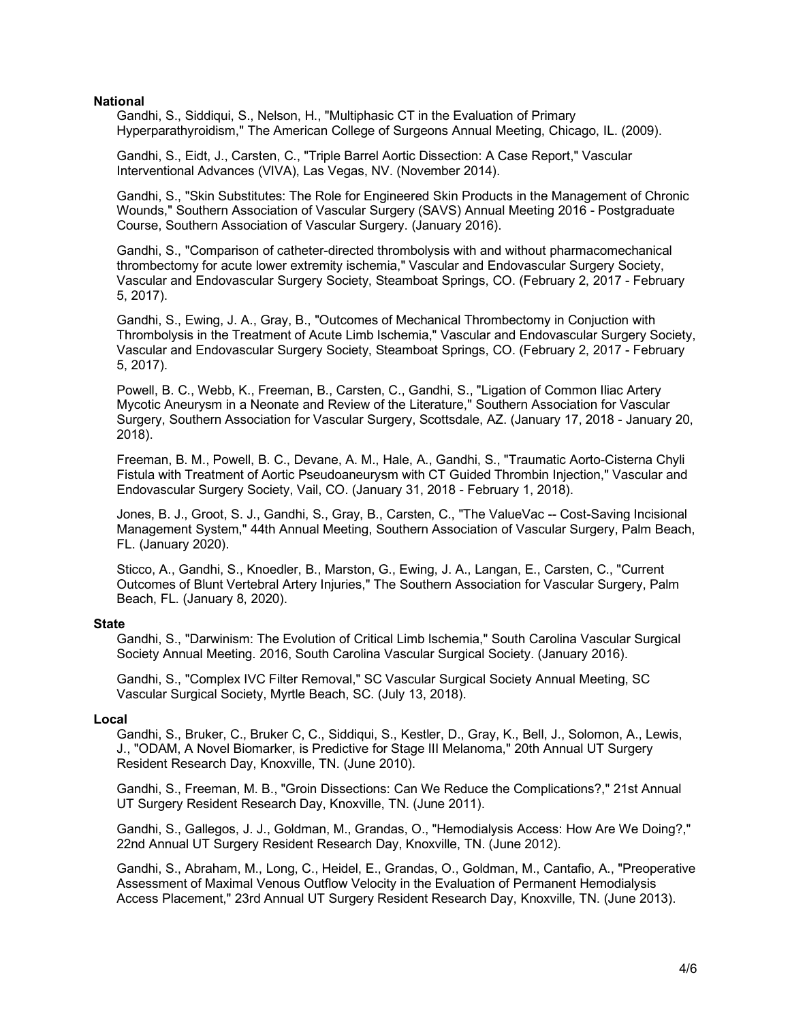## **National**

Gandhi, S., Siddiqui, S., Nelson, H., "Multiphasic CT in the Evaluation of Primary Hyperparathyroidism," The American College of Surgeons Annual Meeting, Chicago, IL. (2009).

Gandhi, S., Eidt, J., Carsten, C., "Triple Barrel Aortic Dissection: A Case Report," Vascular Interventional Advances (VIVA), Las Vegas, NV. (November 2014).

Gandhi, S., "Skin Substitutes: The Role for Engineered Skin Products in the Management of Chronic Wounds," Southern Association of Vascular Surgery (SAVS) Annual Meeting 2016 - Postgraduate Course, Southern Association of Vascular Surgery. (January 2016).

Gandhi, S., "Comparison of catheter-directed thrombolysis with and without pharmacomechanical thrombectomy for acute lower extremity ischemia," Vascular and Endovascular Surgery Society, Vascular and Endovascular Surgery Society, Steamboat Springs, CO. (February 2, 2017 - February 5, 2017).

Gandhi, S., Ewing, J. A., Gray, B., "Outcomes of Mechanical Thrombectomy in Conjuction with Thrombolysis in the Treatment of Acute Limb Ischemia," Vascular and Endovascular Surgery Society, Vascular and Endovascular Surgery Society, Steamboat Springs, CO. (February 2, 2017 - February 5, 2017).

Powell, B. C., Webb, K., Freeman, B., Carsten, C., Gandhi, S., "Ligation of Common Iliac Artery Mycotic Aneurysm in a Neonate and Review of the Literature," Southern Association for Vascular Surgery, Southern Association for Vascular Surgery, Scottsdale, AZ. (January 17, 2018 - January 20, 2018).

Freeman, B. M., Powell, B. C., Devane, A. M., Hale, A., Gandhi, S., "Traumatic Aorto-Cisterna Chyli Fistula with Treatment of Aortic Pseudoaneurysm with CT Guided Thrombin Injection," Vascular and Endovascular Surgery Society, Vail, CO. (January 31, 2018 - February 1, 2018).

Jones, B. J., Groot, S. J., Gandhi, S., Gray, B., Carsten, C., "The ValueVac -- Cost-Saving Incisional Management System," 44th Annual Meeting, Southern Association of Vascular Surgery, Palm Beach, FL. (January 2020).

Sticco, A., Gandhi, S., Knoedler, B., Marston, G., Ewing, J. A., Langan, E., Carsten, C., "Current Outcomes of Blunt Vertebral Artery Injuries," The Southern Association for Vascular Surgery, Palm Beach, FL. (January 8, 2020).

## **State**

Gandhi, S., "Darwinism: The Evolution of Critical Limb Ischemia," South Carolina Vascular Surgical Society Annual Meeting. 2016, South Carolina Vascular Surgical Society. (January 2016).

Gandhi, S., "Complex IVC Filter Removal," SC Vascular Surgical Society Annual Meeting, SC Vascular Surgical Society, Myrtle Beach, SC. (July 13, 2018).

#### **Local**

Gandhi, S., Bruker, C., Bruker C, C., Siddiqui, S., Kestler, D., Gray, K., Bell, J., Solomon, A., Lewis, J., "ODAM, A Novel Biomarker, is Predictive for Stage III Melanoma," 20th Annual UT Surgery Resident Research Day, Knoxville, TN. (June 2010).

Gandhi, S., Freeman, M. B., "Groin Dissections: Can We Reduce the Complications?," 21st Annual UT Surgery Resident Research Day, Knoxville, TN. (June 2011).

Gandhi, S., Gallegos, J. J., Goldman, M., Grandas, O., "Hemodialysis Access: How Are We Doing?," 22nd Annual UT Surgery Resident Research Day, Knoxville, TN. (June 2012).

Gandhi, S., Abraham, M., Long, C., Heidel, E., Grandas, O., Goldman, M., Cantafio, A., "Preoperative Assessment of Maximal Venous Outflow Velocity in the Evaluation of Permanent Hemodialysis Access Placement," 23rd Annual UT Surgery Resident Research Day, Knoxville, TN. (June 2013).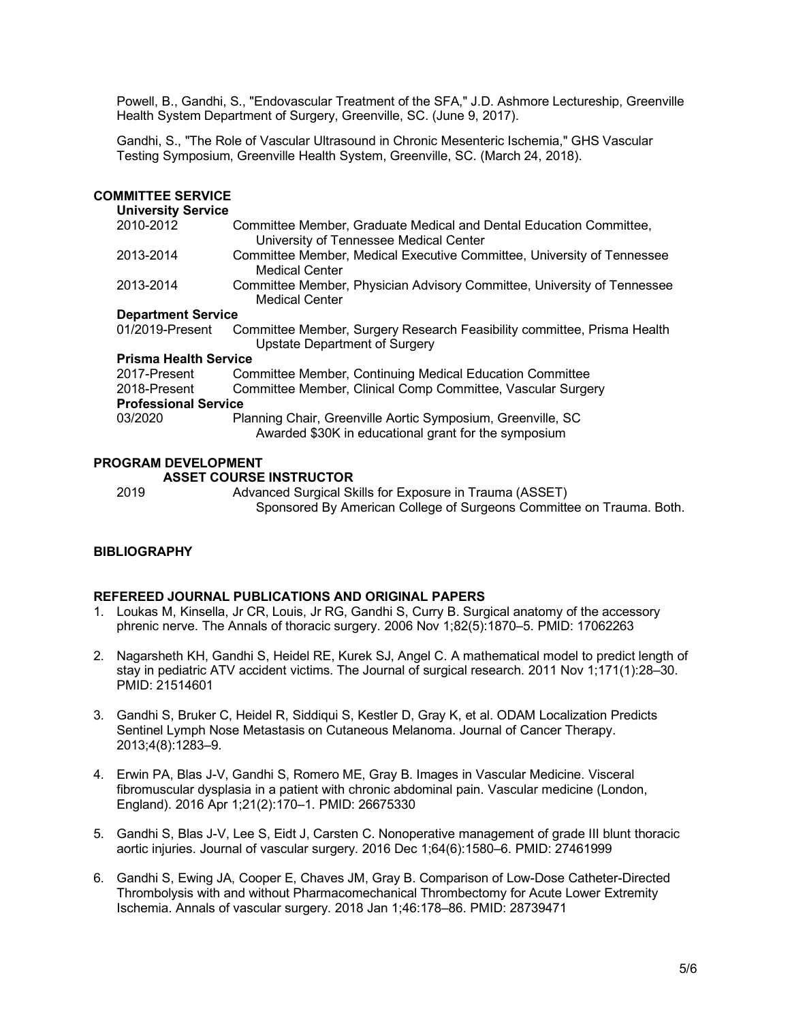Powell, B., Gandhi, S., "Endovascular Treatment of the SFA," J.D. Ashmore Lectureship, Greenville Health System Department of Surgery, Greenville, SC. (June 9, 2017).

Gandhi, S., "The Role of Vascular Ultrasound in Chronic Mesenteric Ischemia," GHS Vascular Testing Symposium, Greenville Health System, Greenville, SC. (March 24, 2018).

### **COMMITTEE SERVICE**

#### **University Service**

| <b>OTTLACISITA OCLAICE</b>   |                                                                                                                     |
|------------------------------|---------------------------------------------------------------------------------------------------------------------|
| 2010-2012                    | Committee Member, Graduate Medical and Dental Education Committee,<br>University of Tennessee Medical Center        |
| 2013-2014                    | Committee Member, Medical Executive Committee, University of Tennessee<br><b>Medical Center</b>                     |
| 2013-2014                    | Committee Member, Physician Advisory Committee, University of Tennessee<br><b>Medical Center</b>                    |
| <b>Department Service</b>    |                                                                                                                     |
| 01/2019-Present              | Committee Member, Surgery Research Feasibility committee, Prisma Health<br>Upstate Department of Surgery            |
| <b>Prisma Health Service</b> |                                                                                                                     |
| 2017-Present                 | Committee Member, Continuing Medical Education Committee                                                            |
| 2018-Present                 | Committee Member, Clinical Comp Committee, Vascular Surgery                                                         |
| <b>Professional Service</b>  |                                                                                                                     |
| 03/2020                      | Planning Chair, Greenville Aortic Symposium, Greenville, SC<br>Awarded \$30K in educational grant for the symposium |

### **PROGRAM DEVELOPMENT**

#### **ASSET COURSE INSTRUCTOR**

2019 Advanced Surgical Skills for Exposure in Trauma (ASSET) Sponsored By American College of Surgeons Committee on Trauma. Both.

## **BIBLIOGRAPHY**

## **REFEREED JOURNAL PUBLICATIONS AND ORIGINAL PAPERS**

- 1. Loukas M, Kinsella, Jr CR, Louis, Jr RG, Gandhi S, Curry B. Surgical anatomy of the accessory phrenic nerve. The Annals of thoracic surgery. 2006 Nov 1;82(5):1870–5. PMID: 17062263
- 2. Nagarsheth KH, Gandhi S, Heidel RE, Kurek SJ, Angel C. A mathematical model to predict length of stay in pediatric ATV accident victims. The Journal of surgical research. 2011 Nov 1;171(1):28–30. PMID: 21514601
- 3. Gandhi S, Bruker C, Heidel R, Siddiqui S, Kestler D, Gray K, et al. ODAM Localization Predicts Sentinel Lymph Nose Metastasis on Cutaneous Melanoma. Journal of Cancer Therapy. 2013;4(8):1283–9.
- 4. Erwin PA, Blas J-V, Gandhi S, Romero ME, Gray B. Images in Vascular Medicine. Visceral fibromuscular dysplasia in a patient with chronic abdominal pain. Vascular medicine (London, England). 2016 Apr 1;21(2):170–1. PMID: 26675330
- 5. Gandhi S, Blas J-V, Lee S, Eidt J, Carsten C. Nonoperative management of grade III blunt thoracic aortic injuries. Journal of vascular surgery. 2016 Dec 1;64(6):1580–6. PMID: 27461999
- 6. Gandhi S, Ewing JA, Cooper E, Chaves JM, Gray B. Comparison of Low-Dose Catheter-Directed Thrombolysis with and without Pharmacomechanical Thrombectomy for Acute Lower Extremity Ischemia. Annals of vascular surgery. 2018 Jan 1;46:178–86. PMID: 28739471